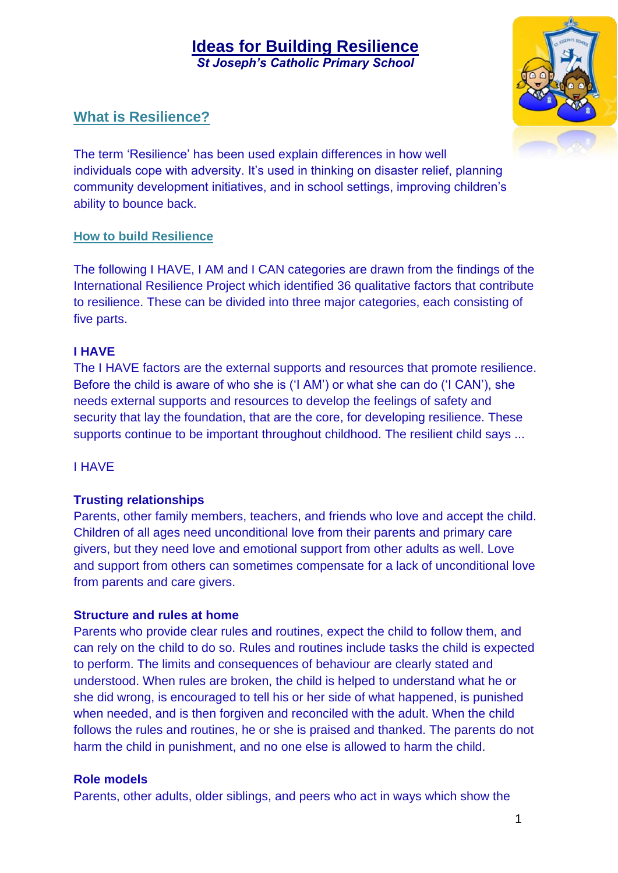

# **What is Resilience?**

The term 'Resilience' has been used explain differences in how well individuals cope with adversity. It's used in thinking on disaster relief, planning community development initiatives, and in school settings, improving children's ability to bounce back.

### **How to build Resilience**

The following I HAVE, I AM and I CAN categories are drawn from the findings of the International Resilience Project which identified 36 qualitative factors that contribute to resilience. These can be divided into three major categories, each consisting of five parts.

### **I HAVE**

The I HAVE factors are the external supports and resources that promote resilience. Before the child is aware of who she is ('I AM') or what she can do ('I CAN'), she needs external supports and resources to develop the feelings of safety and security that lay the foundation, that are the core, for developing resilience. These supports continue to be important throughout childhood. The resilient child says ...

I HAVE

## **Trusting relationships**

Parents, other family members, teachers, and friends who love and accept the child. Children of all ages need unconditional love from their parents and primary care givers, but they need love and emotional support from other adults as well. Love and support from others can sometimes compensate for a lack of unconditional love from parents and care givers.

### **Structure and rules at home**

Parents who provide clear rules and routines, expect the child to follow them, and can rely on the child to do so. Rules and routines include tasks the child is expected to perform. The limits and consequences of behaviour are clearly stated and understood. When rules are broken, the child is helped to understand what he or she did wrong, is encouraged to tell his or her side of what happened, is punished when needed, and is then forgiven and reconciled with the adult. When the child follows the rules and routines, he or she is praised and thanked. The parents do not harm the child in punishment, and no one else is allowed to harm the child.

## **Role models**

Parents, other adults, older siblings, and peers who act in ways which show the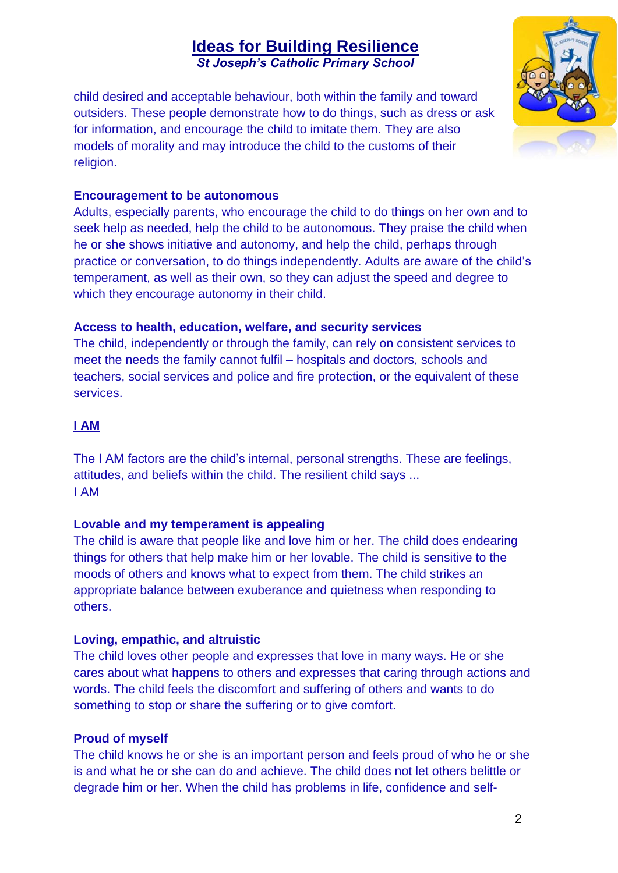child desired and acceptable behaviour, both within the family and toward outsiders. These people demonstrate how to do things, such as dress or ask for information, and encourage the child to imitate them. They are also models of morality and may introduce the child to the customs of their religion.



### **Encouragement to be autonomous**

Adults, especially parents, who encourage the child to do things on her own and to seek help as needed, help the child to be autonomous. They praise the child when he or she shows initiative and autonomy, and help the child, perhaps through practice or conversation, to do things independently. Adults are aware of the child's temperament, as well as their own, so they can adjust the speed and degree to which they encourage autonomy in their child.

### **Access to health, education, welfare, and security services**

The child, independently or through the family, can rely on consistent services to meet the needs the family cannot fulfil – hospitals and doctors, schools and teachers, social services and police and fire protection, or the equivalent of these services.

## **I AM**

The I AM factors are the child's internal, personal strengths. These are feelings, attitudes, and beliefs within the child. The resilient child says ... I AM

## **Lovable and my temperament is appealing**

The child is aware that people like and love him or her. The child does endearing things for others that help make him or her lovable. The child is sensitive to the moods of others and knows what to expect from them. The child strikes an appropriate balance between exuberance and quietness when responding to others.

## **Loving, empathic, and altruistic**

The child loves other people and expresses that love in many ways. He or she cares about what happens to others and expresses that caring through actions and words. The child feels the discomfort and suffering of others and wants to do something to stop or share the suffering or to give comfort.

## **Proud of myself**

The child knows he or she is an important person and feels proud of who he or she is and what he or she can do and achieve. The child does not let others belittle or degrade him or her. When the child has problems in life, confidence and self-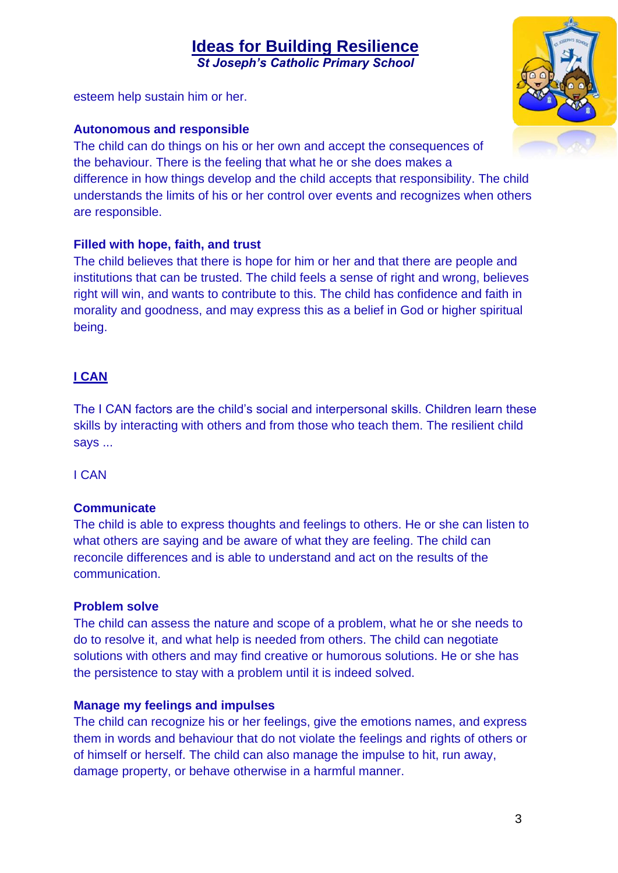esteem help sustain him or her.

#### **Autonomous and responsible**

The child can do things on his or her own and accept the consequences of the behaviour. There is the feeling that what he or she does makes a difference in how things develop and the child accepts that responsibility. The child understands the limits of his or her control over events and recognizes when others are responsible.

### **Filled with hope, faith, and trust**

The child believes that there is hope for him or her and that there are people and institutions that can be trusted. The child feels a sense of right and wrong, believes right will win, and wants to contribute to this. The child has confidence and faith in morality and goodness, and may express this as a belief in God or higher spiritual being.

### **I CAN**

The I CAN factors are the child's social and interpersonal skills. Children learn these skills by interacting with others and from those who teach them. The resilient child says ...

I CAN

### **Communicate**

The child is able to express thoughts and feelings to others. He or she can listen to what others are saying and be aware of what they are feeling. The child can reconcile differences and is able to understand and act on the results of the communication.

### **Problem solve**

The child can assess the nature and scope of a problem, what he or she needs to do to resolve it, and what help is needed from others. The child can negotiate solutions with others and may find creative or humorous solutions. He or she has the persistence to stay with a problem until it is indeed solved.

### **Manage my feelings and impulses**

The child can recognize his or her feelings, give the emotions names, and express them in words and behaviour that do not violate the feelings and rights of others or of himself or herself. The child can also manage the impulse to hit, run away, damage property, or behave otherwise in a harmful manner.

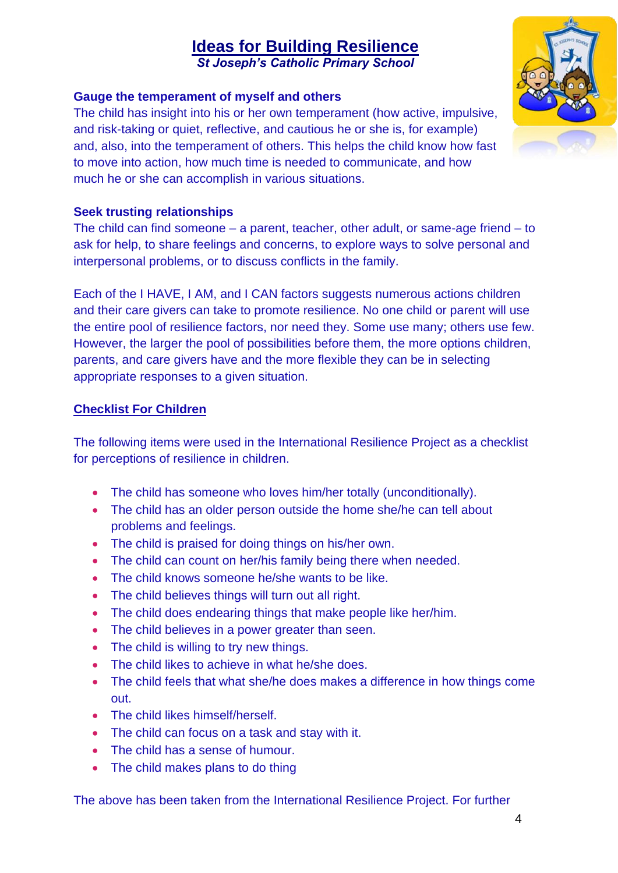#### **Gauge the temperament of myself and others**

The child has insight into his or her own temperament (how active, impulsive, and risk-taking or quiet, reflective, and cautious he or she is, for example) and, also, into the temperament of others. This helps the child know how fast to move into action, how much time is needed to communicate, and how much he or she can accomplish in various situations.

#### **Seek trusting relationships**

The child can find someone – a parent, teacher, other adult, or same-age friend – to ask for help, to share feelings and concerns, to explore ways to solve personal and interpersonal problems, or to discuss conflicts in the family.

Each of the I HAVE, I AM, and I CAN factors suggests numerous actions children and their care givers can take to promote resilience. No one child or parent will use the entire pool of resilience factors, nor need they. Some use many; others use few. However, the larger the pool of possibilities before them, the more options children, parents, and care givers have and the more flexible they can be in selecting appropriate responses to a given situation.

#### **Checklist For Children**

The following items were used in the International Resilience Project as a checklist for perceptions of resilience in children.

- The child has someone who loves him/her totally (unconditionally).
- The child has an older person outside the home she/he can tell about problems and feelings.
- The child is praised for doing things on his/her own.
- The child can count on her/his family being there when needed.
- The child knows someone he/she wants to be like.
- The child believes things will turn out all right.
- The child does endearing things that make people like her/him.
- The child believes in a power greater than seen.
- The child is willing to try new things.
- The child likes to achieve in what he/she does.
- The child feels that what she/he does makes a difference in how things come out.
- The child likes himself/herself.
- The child can focus on a task and stay with it.
- The child has a sense of humour.
- The child makes plans to do thing

The above has been taken from the International Resilience Project. For further

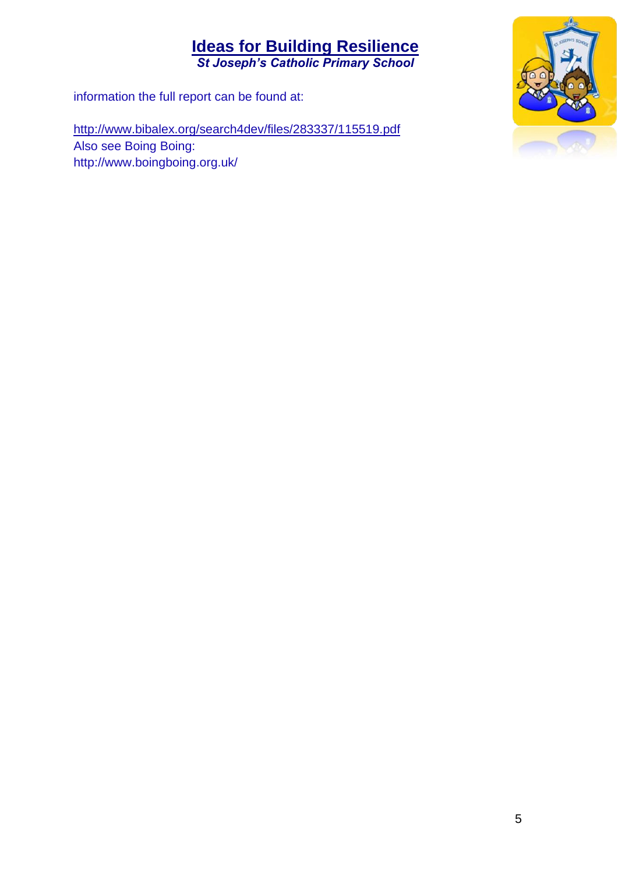information the full report can be found at:

<http://www.bibalex.org/search4dev/files/283337/115519.pdf> Also see Boing Boing: http://www.boingboing.org.uk/